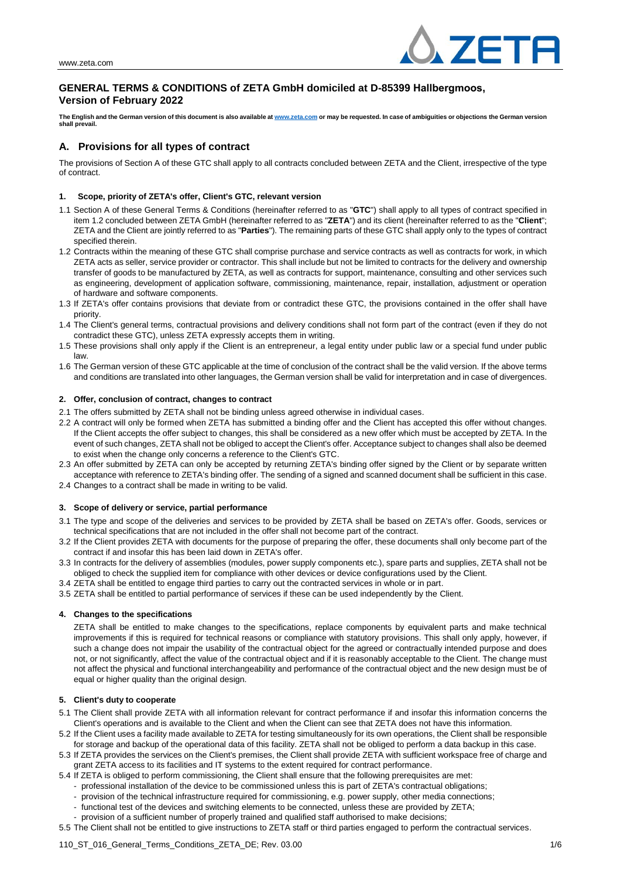

# **GENERAL TERMS & CONDITIONS of ZETA GmbH domiciled at D-85399 Hallbergmoos, Version of February 2022**

**The English and the German version of this document is also available at [www.zeta.com](http://www.zeta.com/) or may be requested. In case of ambiguities or objections the German version shall prevail.**

# **A. Provisions for all types of contract**

The provisions of Section A of these GTC shall apply to all contracts concluded between ZETA and the Client, irrespective of the type of contract.

## **1. Scope, priority of ZETA's offer, Client's GTC, relevant version**

- 1.1 Section A of these General Terms & Conditions (hereinafter referred to as "**GTC**") shall apply to all types of contract specified in item 1.2 concluded between ZETA GmbH (hereinafter referred to as "**ZETA**") and its client (hereinafter referred to as the "**Client**"; ZETA and the Client are jointly referred to as "**Parties**"). The remaining parts of these GTC shall apply only to the types of contract specified therein.
- 1.2 Contracts within the meaning of these GTC shall comprise purchase and service contracts as well as contracts for work, in which ZETA acts as seller, service provider or contractor. This shall include but not be limited to contracts for the delivery and ownership transfer of goods to be manufactured by ZETA, as well as contracts for support, maintenance, consulting and other services such as engineering, development of application software, commissioning, maintenance, repair, installation, adjustment or operation of hardware and software components.
- 1.3 If ZETA's offer contains provisions that deviate from or contradict these GTC, the provisions contained in the offer shall have priority.
- 1.4 The Client's general terms, contractual provisions and delivery conditions shall not form part of the contract (even if they do not contradict these GTC), unless ZETA expressly accepts them in writing.
- 1.5 These provisions shall only apply if the Client is an entrepreneur, a legal entity under public law or a special fund under public law.
- 1.6 The German version of these GTC applicable at the time of conclusion of the contract shall be the valid version. If the above terms and conditions are translated into other languages, the German version shall be valid for interpretation and in case of divergences.

## **2. Offer, conclusion of contract, changes to contract**

- 2.1 The offers submitted by ZETA shall not be binding unless agreed otherwise in individual cases.
- 2.2 A contract will only be formed when ZETA has submitted a binding offer and the Client has accepted this offer without changes. If the Client accepts the offer subject to changes, this shall be considered as a new offer which must be accepted by ZETA. In the event of such changes, ZETA shall not be obliged to accept the Client's offer. Acceptance subject to changes shall also be deemed to exist when the change only concerns a reference to the Client's GTC.
- 2.3 An offer submitted by ZETA can only be accepted by returning ZETA's binding offer signed by the Client or by separate written acceptance with reference to ZETA's binding offer. The sending of a signed and scanned document shall be sufficient in this case. 2.4 Changes to a contract shall be made in writing to be valid.

## **3. Scope of delivery or service, partial performance**

- 3.1 The type and scope of the deliveries and services to be provided by ZETA shall be based on ZETA's offer. Goods, services or technical specifications that are not included in the offer shall not become part of the contract.
- 3.2 If the Client provides ZETA with documents for the purpose of preparing the offer, these documents shall only become part of the contract if and insofar this has been laid down in ZETA's offer.
- 3.3 In contracts for the delivery of assemblies (modules, power supply components etc.), spare parts and supplies, ZETA shall not be obliged to check the supplied item for compliance with other devices or device configurations used by the Client.
- 3.4 ZETA shall be entitled to engage third parties to carry out the contracted services in whole or in part.
- 3.5 ZETA shall be entitled to partial performance of services if these can be used independently by the Client.

## **4. Changes to the specifications**

ZETA shall be entitled to make changes to the specifications, replace components by equivalent parts and make technical improvements if this is required for technical reasons or compliance with statutory provisions. This shall only apply, however, if such a change does not impair the usability of the contractual object for the agreed or contractually intended purpose and does not, or not significantly, affect the value of the contractual object and if it is reasonably acceptable to the Client. The change must not affect the physical and functional interchangeability and performance of the contractual object and the new design must be of equal or higher quality than the original design.

## **5. Client's duty to cooperate**

- 5.1 The Client shall provide ZETA with all information relevant for contract performance if and insofar this information concerns the Client's operations and is available to the Client and when the Client can see that ZETA does not have this information.
- 5.2 If the Client uses a facility made available to ZETA for testing simultaneously for its own operations, the Client shall be responsible for storage and backup of the operational data of this facility. ZETA shall not be obliged to perform a data backup in this case.
- 5.3 If ZETA provides the services on the Client's premises, the Client shall provide ZETA with sufficient workspace free of charge and grant ZETA access to its facilities and IT systems to the extent required for contract performance.
- 5.4 If ZETA is obliged to perform commissioning, the Client shall ensure that the following prerequisites are met:
	- professional installation of the device to be commissioned unless this is part of ZETA's contractual obligations;
	- provision of the technical infrastructure required for commissioning, e.g. power supply, other media connections;
	- functional test of the devices and switching elements to be connected, unless these are provided by ZETA;
	- provision of a sufficient number of properly trained and qualified staff authorised to make decisions;
- 5.5 The Client shall not be entitled to give instructions to ZETA staff or third parties engaged to perform the contractual services.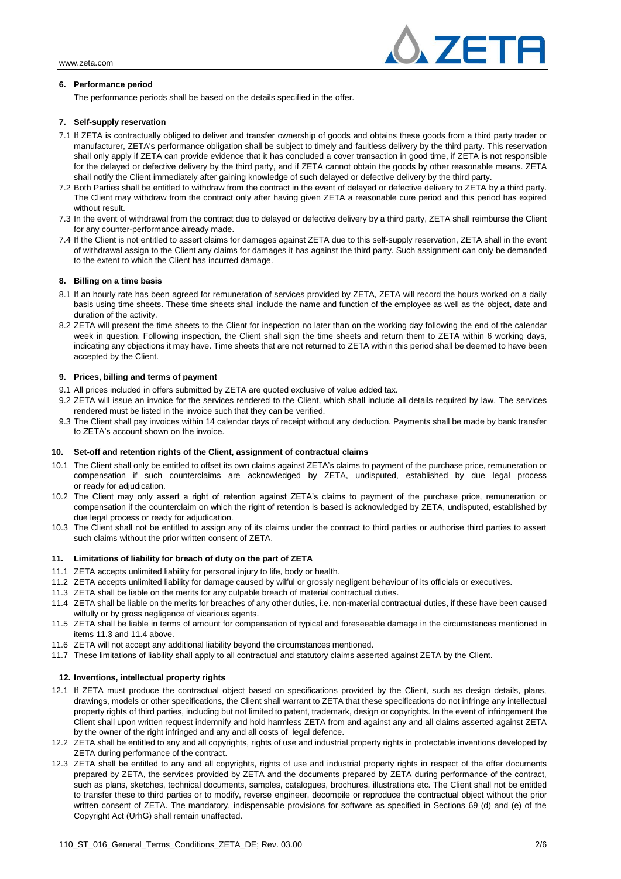

## **6. Performance period**

The performance periods shall be based on the details specified in the offer.

## **7. Self-supply reservation**

- 7.1 If ZETA is contractually obliged to deliver and transfer ownership of goods and obtains these goods from a third party trader or manufacturer, ZETA's performance obligation shall be subject to timely and faultless delivery by the third party. This reservation shall only apply if ZETA can provide evidence that it has concluded a cover transaction in good time, if ZETA is not responsible for the delayed or defective delivery by the third party, and if ZETA cannot obtain the goods by other reasonable means. ZETA shall notify the Client immediately after gaining knowledge of such delayed or defective delivery by the third party.
- 7.2 Both Parties shall be entitled to withdraw from the contract in the event of delayed or defective delivery to ZETA by a third party. The Client may withdraw from the contract only after having given ZETA a reasonable cure period and this period has expired without result.
- 7.3 In the event of withdrawal from the contract due to delayed or defective delivery by a third party, ZETA shall reimburse the Client for any counter-performance already made.
- 7.4 If the Client is not entitled to assert claims for damages against ZETA due to this self-supply reservation, ZETA shall in the event of withdrawal assign to the Client any claims for damages it has against the third party. Such assignment can only be demanded to the extent to which the Client has incurred damage.

## **8. Billing on a time basis**

- 8.1 If an hourly rate has been agreed for remuneration of services provided by ZETA, ZETA will record the hours worked on a daily basis using time sheets. These time sheets shall include the name and function of the employee as well as the object, date and duration of the activity.
- 8.2 ZETA will present the time sheets to the Client for inspection no later than on the working day following the end of the calendar week in question. Following inspection, the Client shall sign the time sheets and return them to ZETA within 6 working days, indicating any objections it may have. Time sheets that are not returned to ZETA within this period shall be deemed to have been accepted by the Client.

#### **9. Prices, billing and terms of payment**

- 9.1 All prices included in offers submitted by ZETA are quoted exclusive of value added tax.
- 9.2 ZETA will issue an invoice for the services rendered to the Client, which shall include all details required by law. The services rendered must be listed in the invoice such that they can be verified.
- 9.3 The Client shall pay invoices within 14 calendar days of receipt without any deduction. Payments shall be made by bank transfer to ZETA's account shown on the invoice.

#### **10. Set-off and retention rights of the Client, assignment of contractual claims**

- 10.1 The Client shall only be entitled to offset its own claims against ZETA's claims to payment of the purchase price, remuneration or compensation if such counterclaims are acknowledged by ZETA, undisputed, established by due legal process or ready for adjudication.
- 10.2 The Client may only assert a right of retention against ZETA's claims to payment of the purchase price, remuneration or compensation if the counterclaim on which the right of retention is based is acknowledged by ZETA, undisputed, established by due legal process or ready for adjudication.
- 10.3 The Client shall not be entitled to assign any of its claims under the contract to third parties or authorise third parties to assert such claims without the prior written consent of ZETA.

#### **11. Limitations of liability for breach of duty on the part of ZETA**

- 11.1 ZETA accepts unlimited liability for personal injury to life, body or health.
- 11.2 ZETA accepts unlimited liability for damage caused by wilful or grossly negligent behaviour of its officials or executives.
- 11.3 ZETA shall be liable on the merits for any culpable breach of material contractual duties.
- 11.4 ZETA shall be liable on the merits for breaches of any other duties, i.e. non-material contractual duties, if these have been caused wilfully or by gross negligence of vicarious agents.
- 11.5 ZETA shall be liable in terms of amount for compensation of typical and foreseeable damage in the circumstances mentioned in items 11.3 and 11.4 above.
- 11.6 ZETA will not accept any additional liability beyond the circumstances mentioned.
- 11.7 These limitations of liability shall apply to all contractual and statutory claims asserted against ZETA by the Client.

## **12. Inventions, intellectual property rights**

- 12.1 If ZETA must produce the contractual object based on specifications provided by the Client, such as design details, plans, drawings, models or other specifications, the Client shall warrant to ZETA that these specifications do not infringe any intellectual property rights of third parties, including but not limited to patent, trademark, design or copyrights. In the event of infringement the Client shall upon written request indemnify and hold harmless ZETA from and against any and all claims asserted against ZETA by the owner of the right infringed and any and all costs of legal defence.
- 12.2 ZETA shall be entitled to any and all copyrights, rights of use and industrial property rights in protectable inventions developed by ZETA during performance of the contract.
- 12.3 ZETA shall be entitled to any and all copyrights, rights of use and industrial property rights in respect of the offer documents prepared by ZETA, the services provided by ZETA and the documents prepared by ZETA during performance of the contract, such as plans, sketches, technical documents, samples, catalogues, brochures, illustrations etc. The Client shall not be entitled to transfer these to third parties or to modify, reverse engineer, decompile or reproduce the contractual object without the prior written consent of ZETA. The mandatory, indispensable provisions for software as specified in Sections 69 (d) and (e) of the Copyright Act (UrhG) shall remain unaffected.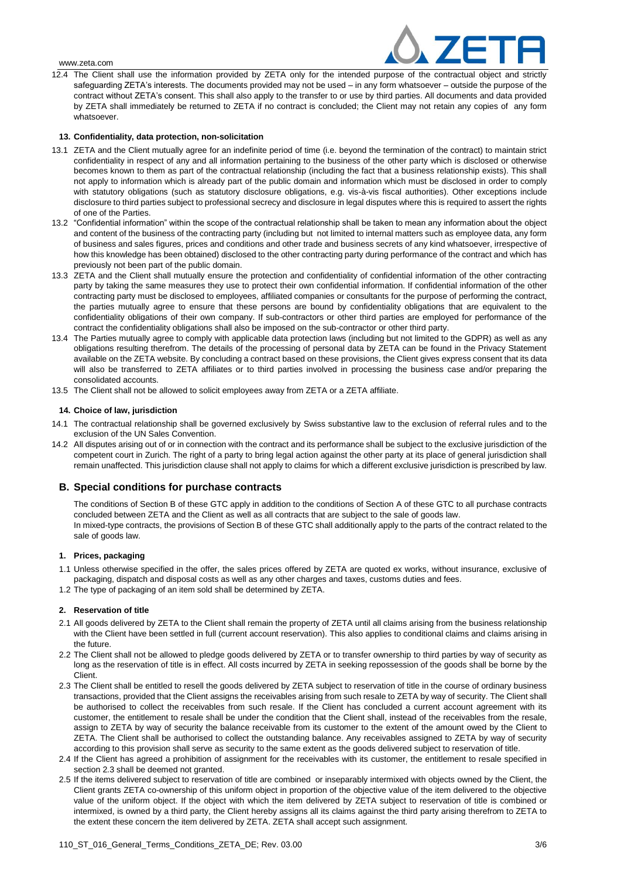

12.4 The Client shall use the information provided by ZETA only for the intended purpose of the contractual object and strictly safeguarding ZETA's interests. The documents provided may not be used – in any form whatsoever – outside the purpose of the contract without ZETA's consent. This shall also apply to the transfer to or use by third parties. All documents and data provided by ZETA shall immediately be returned to ZETA if no contract is concluded; the Client may not retain any copies of any form whatsoever.

## **13. Confidentiality, data protection, non-solicitation**

- 13.1 ZETA and the Client mutually agree for an indefinite period of time (i.e. beyond the termination of the contract) to maintain strict confidentiality in respect of any and all information pertaining to the business of the other party which is disclosed or otherwise becomes known to them as part of the contractual relationship (including the fact that a business relationship exists). This shall not apply to information which is already part of the public domain and information which must be disclosed in order to comply with statutory obligations (such as statutory disclosure obligations, e.g. vis-à-vis fiscal authorities). Other exceptions include disclosure to third parties subject to professional secrecy and disclosure in legal disputes where this is required to assert the rights of one of the Parties.
- 13.2 "Confidential information" within the scope of the contractual relationship shall be taken to mean any information about the object and content of the business of the contracting party (including but not limited to internal matters such as employee data, any form of business and sales figures, prices and conditions and other trade and business secrets of any kind whatsoever, irrespective of how this knowledge has been obtained) disclosed to the other contracting party during performance of the contract and which has previously not been part of the public domain.
- 13.3 ZETA and the Client shall mutually ensure the protection and confidentiality of confidential information of the other contracting party by taking the same measures they use to protect their own confidential information. If confidential information of the other contracting party must be disclosed to employees, affiliated companies or consultants for the purpose of performing the contract, the parties mutually agree to ensure that these persons are bound by confidentiality obligations that are equivalent to the confidentiality obligations of their own company. If sub-contractors or other third parties are employed for performance of the contract the confidentiality obligations shall also be imposed on the sub-contractor or other third party.
- 13.4 The Parties mutually agree to comply with applicable data protection laws (including but not limited to the GDPR) as well as any obligations resulting therefrom. The details of the processing of personal data by ZETA can be found in the Privacy Statement available on the ZETA website. By concluding a contract based on these provisions, the Client gives express consent that its data will also be transferred to ZETA affiliates or to third parties involved in processing the business case and/or preparing the consolidated accounts.
- 13.5 The Client shall not be allowed to solicit employees away from ZETA or a ZETA affiliate.

## **14. Choice of law, jurisdiction**

- 14.1 The contractual relationship shall be governed exclusively by Swiss substantive law to the exclusion of referral rules and to the exclusion of the UN Sales Convention.
- 14.2 All disputes arising out of or in connection with the contract and its performance shall be subject to the exclusive jurisdiction of the competent court in Zurich. The right of a party to bring legal action against the other party at its place of general jurisdiction shall remain unaffected. This jurisdiction clause shall not apply to claims for which a different exclusive jurisdiction is prescribed by law.

## **B. Special conditions for purchase contracts**

The conditions of Section B of these GTC apply in addition to the conditions of Section A of these GTC to all purchase contracts concluded between ZETA and the Client as well as all contracts that are subject to the sale of goods law. In mixed-type contracts, the provisions of Section B of these GTC shall additionally apply to the parts of the contract related to the sale of goods law.

## **1. Prices, packaging**

- 1.1 Unless otherwise specified in the offer, the sales prices offered by ZETA are quoted ex works, without insurance, exclusive of packaging, dispatch and disposal costs as well as any other charges and taxes, customs duties and fees.
- 1.2 The type of packaging of an item sold shall be determined by ZETA.

## **2. Reservation of title**

- 2.1 All goods delivered by ZETA to the Client shall remain the property of ZETA until all claims arising from the business relationship with the Client have been settled in full (current account reservation). This also applies to conditional claims and claims arising in the future.
- 2.2 The Client shall not be allowed to pledge goods delivered by ZETA or to transfer ownership to third parties by way of security as long as the reservation of title is in effect. All costs incurred by ZETA in seeking repossession of the goods shall be borne by the Client.
- 2.3 The Client shall be entitled to resell the goods delivered by ZETA subject to reservation of title in the course of ordinary business transactions, provided that the Client assigns the receivables arising from such resale to ZETA by way of security. The Client shall be authorised to collect the receivables from such resale. If the Client has concluded a current account agreement with its customer, the entitlement to resale shall be under the condition that the Client shall, instead of the receivables from the resale, assign to ZETA by way of security the balance receivable from its customer to the extent of the amount owed by the Client to ZETA. The Client shall be authorised to collect the outstanding balance. Any receivables assigned to ZETA by way of security according to this provision shall serve as security to the same extent as the goods delivered subject to reservation of title.
- 2.4 If the Client has agreed a prohibition of assignment for the receivables with its customer, the entitlement to resale specified in section 2.3 shall be deemed not granted.
- 2.5 If the items delivered subject to reservation of title are combined or inseparably intermixed with objects owned by the Client, the Client grants ZETA co-ownership of this uniform object in proportion of the objective value of the item delivered to the objective value of the uniform object. If the object with which the item delivered by ZETA subject to reservation of title is combined or intermixed, is owned by a third party, the Client hereby assigns all its claims against the third party arising therefrom to ZETA to the extent these concern the item delivered by ZETA. ZETA shall accept such assignment.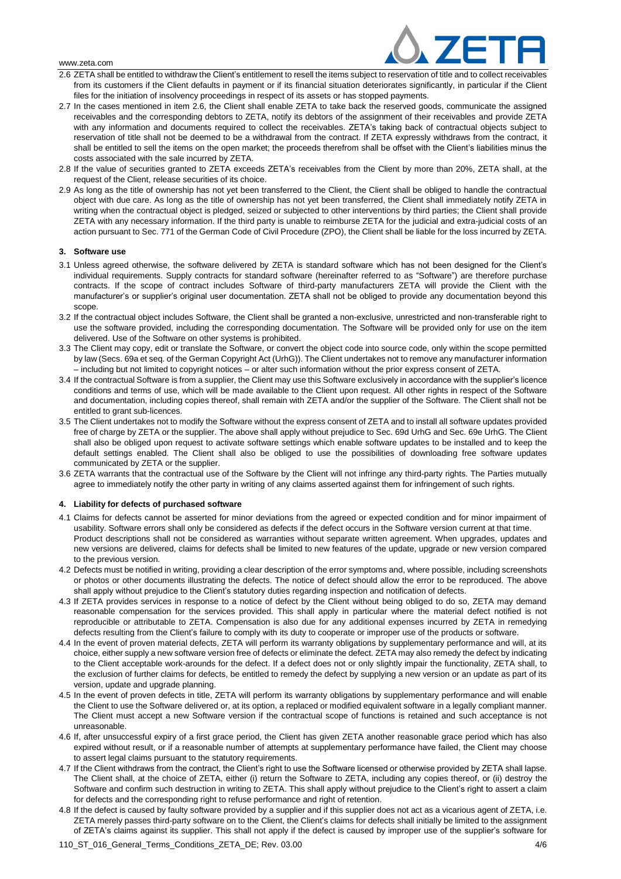

- 2.6 ZETA shall be entitled to withdraw the Client's entitlement to resell the items subject to reservation of title and to collect receivables from its customers if the Client defaults in payment or if its financial situation deteriorates significantly, in particular if the Client files for the initiation of insolvency proceedings in respect of its assets or has stopped payments.
- 2.7 In the cases mentioned in item 2.6, the Client shall enable ZETA to take back the reserved goods, communicate the assigned receivables and the corresponding debtors to ZETA, notify its debtors of the assignment of their receivables and provide ZETA with any information and documents required to collect the receivables. ZETA's taking back of contractual objects subject to reservation of title shall not be deemed to be a withdrawal from the contract. If ZETA expressly withdraws from the contract, it shall be entitled to sell the items on the open market; the proceeds therefrom shall be offset with the Client's liabilities minus the costs associated with the sale incurred by ZETA.
- 2.8 If the value of securities granted to ZETA exceeds ZETA's receivables from the Client by more than 20%, ZETA shall, at the request of the Client, release securities of its choice.
- 2.9 As long as the title of ownership has not yet been transferred to the Client, the Client shall be obliged to handle the contractual object with due care. As long as the title of ownership has not yet been transferred, the Client shall immediately notify ZETA in writing when the contractual object is pledged, seized or subjected to other interventions by third parties; the Client shall provide ZETA with any necessary information. If the third party is unable to reimburse ZETA for the judicial and extra-judicial costs of an action pursuant to Sec. 771 of the German Code of Civil Procedure (ZPO), the Client shall be liable for the loss incurred by ZETA.

#### **3. Software use**

- 3.1 Unless agreed otherwise, the software delivered by ZETA is standard software which has not been designed for the Client's individual requirements. Supply contracts for standard software (hereinafter referred to as "Software") are therefore purchase contracts. If the scope of contract includes Software of third-party manufacturers ZETA will provide the Client with the manufacturer's or supplier's original user documentation. ZETA shall not be obliged to provide any documentation beyond this scope.
- 3.2 If the contractual object includes Software, the Client shall be granted a non-exclusive, unrestricted and non-transferable right to use the software provided, including the corresponding documentation. The Software will be provided only for use on the item delivered. Use of the Software on other systems is prohibited.
- 3.3 The Client may copy, edit or translate the Software, or convert the object code into source code, only within the scope permitted by law (Secs. 69a et seq. of the German Copyright Act (UrhG)). The Client undertakes not to remove any manufacturer information – including but not limited to copyright notices – or alter such information without the prior express consent of ZETA.
- 3.4 If the contractual Software is from a supplier, the Client may use this Software exclusively in accordance with the supplier's licence conditions and terms of use, which will be made available to the Client upon request. All other rights in respect of the Software and documentation, including copies thereof, shall remain with ZETA and/or the supplier of the Software. The Client shall not be entitled to grant sub-licences.
- 3.5 The Client undertakes not to modify the Software without the express consent of ZETA and to install all software updates provided free of charge by ZETA or the supplier. The above shall apply without prejudice to Sec. 69d UrhG and Sec. 69e UrhG. The Client shall also be obliged upon request to activate software settings which enable software updates to be installed and to keep the default settings enabled. The Client shall also be obliged to use the possibilities of downloading free software updates communicated by ZETA or the supplier.
- 3.6 ZETA warrants that the contractual use of the Software by the Client will not infringe any third-party rights. The Parties mutually agree to immediately notify the other party in writing of any claims asserted against them for infringement of such rights.

## **4. Liability for defects of purchased software**

- 4.1 Claims for defects cannot be asserted for minor deviations from the agreed or expected condition and for minor impairment of usability. Software errors shall only be considered as defects if the defect occurs in the Software version current at that time. Product descriptions shall not be considered as warranties without separate written agreement. When upgrades, updates and new versions are delivered, claims for defects shall be limited to new features of the update, upgrade or new version compared to the previous version.
- 4.2 Defects must be notified in writing, providing a clear description of the error symptoms and, where possible, including screenshots or photos or other documents illustrating the defects. The notice of defect should allow the error to be reproduced. The above shall apply without prejudice to the Client's statutory duties regarding inspection and notification of defects.
- 4.3 If ZETA provides services in response to a notice of defect by the Client without being obliged to do so, ZETA may demand reasonable compensation for the services provided. This shall apply in particular where the material defect notified is not reproducible or attributable to ZETA. Compensation is also due for any additional expenses incurred by ZETA in remedying defects resulting from the Client's failure to comply with its duty to cooperate or improper use of the products or software.
- 4.4 In the event of proven material defects, ZETA will perform its warranty obligations by supplementary performance and will, at its choice, either supply a new software version free of defects or eliminate the defect. ZETA may also remedy the defect by indicating to the Client acceptable work-arounds for the defect. If a defect does not or only slightly impair the functionality, ZETA shall, to the exclusion of further claims for defects, be entitled to remedy the defect by supplying a new version or an update as part of its version, update and upgrade planning.
- 4.5 In the event of proven defects in title, ZETA will perform its warranty obligations by supplementary performance and will enable the Client to use the Software delivered or, at its option, a replaced or modified equivalent software in a legally compliant manner. The Client must accept a new Software version if the contractual scope of functions is retained and such acceptance is not unreasonable.
- 4.6 If, after unsuccessful expiry of a first grace period, the Client has given ZETA another reasonable grace period which has also expired without result, or if a reasonable number of attempts at supplementary performance have failed, the Client may choose to assert legal claims pursuant to the statutory requirements.
- 4.7 If the Client withdraws from the contract, the Client's right to use the Software licensed or otherwise provided by ZETA shall lapse. The Client shall, at the choice of ZETA, either (i) return the Software to ZETA, including any copies thereof, or (ii) destroy the Software and confirm such destruction in writing to ZETA. This shall apply without prejudice to the Client's right to assert a claim for defects and the corresponding right to refuse performance and right of retention.
- 4.8 If the defect is caused by faulty software provided by a supplier and if this supplier does not act as a vicarious agent of ZETA, i.e. ZETA merely passes third-party software on to the Client, the Client's claims for defects shall initially be limited to the assignment of ZETA's claims against its supplier. This shall not apply if the defect is caused by improper use of the supplier's software for
- 110 ST\_016 General Terms Conditions ZETA DE; Rev. 03.00 4/6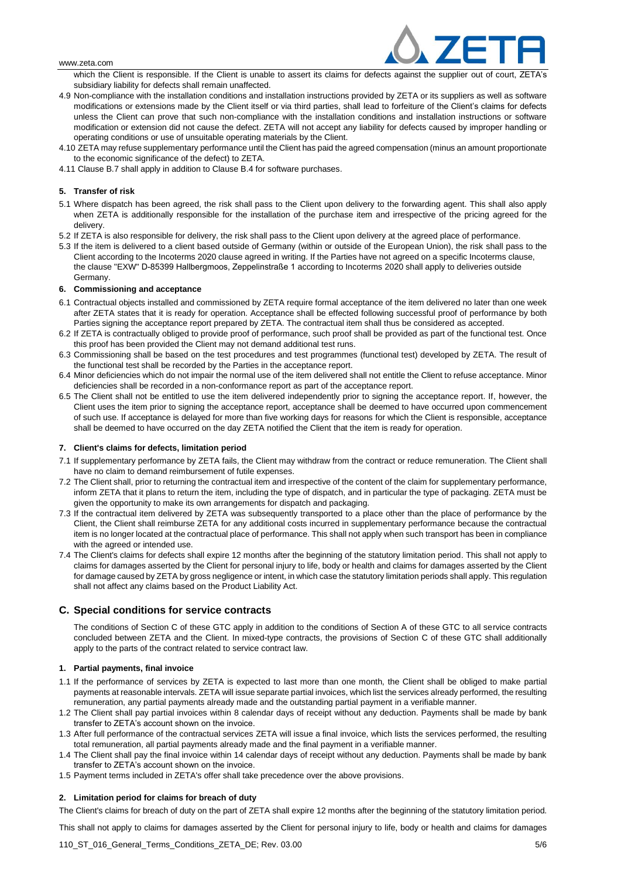

which the Client is responsible. If the Client is unable to assert its claims for defects against the supplier out of court, ZETA's subsidiary liability for defects shall remain unaffected.

- 4.9 Non-compliance with the installation conditions and installation instructions provided by ZETA or its suppliers as well as software modifications or extensions made by the Client itself or via third parties, shall lead to forfeiture of the Client's claims for defects unless the Client can prove that such non-compliance with the installation conditions and installation instructions or software modification or extension did not cause the defect. ZETA will not accept any liability for defects caused by improper handling or operating conditions or use of unsuitable operating materials by the Client.
- 4.10 ZETA may refuse supplementary performance until the Client has paid the agreed compensation (minus an amount proportionate to the economic significance of the defect) to ZETA.
- 4.11 Clause B.7 shall apply in addition to Clause B.4 for software purchases.

## **5. Transfer of risk**

- 5.1 Where dispatch has been agreed, the risk shall pass to the Client upon delivery to the forwarding agent. This shall also apply when ZETA is additionally responsible for the installation of the purchase item and irrespective of the pricing agreed for the delivery.
- 5.2 If ZETA is also responsible for delivery, the risk shall pass to the Client upon delivery at the agreed place of performance.
- 5.3 If the item is delivered to a client based outside of Germany (within or outside of the European Union), the risk shall pass to the Client according to the Incoterms 2020 clause agreed in writing. If the Parties have not agreed on a specific Incoterms clause, the clause "EXW" D-85399 Hallbergmoos, Zeppelinstraße 1 according to Incoterms 2020 shall apply to deliveries outside Germany.

#### **6. Commissioning and acceptance**

- 6.1 Contractual objects installed and commissioned by ZETA require formal acceptance of the item delivered no later than one week after ZETA states that it is ready for operation. Acceptance shall be effected following successful proof of performance by both Parties signing the acceptance report prepared by ZETA. The contractual item shall thus be considered as accepted.
- 6.2 If ZETA is contractually obliged to provide proof of performance, such proof shall be provided as part of the functional test. Once this proof has been provided the Client may not demand additional test runs.
- 6.3 Commissioning shall be based on the test procedures and test programmes (functional test) developed by ZETA. The result of the functional test shall be recorded by the Parties in the acceptance report.
- 6.4 Minor deficiencies which do not impair the normal use of the item delivered shall not entitle the Client to refuse acceptance. Minor deficiencies shall be recorded in a non-conformance report as part of the acceptance report.
- 6.5 The Client shall not be entitled to use the item delivered independently prior to signing the acceptance report. If, however, the Client uses the item prior to signing the acceptance report, acceptance shall be deemed to have occurred upon commencement of such use. If acceptance is delayed for more than five working days for reasons for which the Client is responsible, acceptance shall be deemed to have occurred on the day ZETA notified the Client that the item is ready for operation.

#### **7. Client's claims for defects, limitation period**

- 7.1 If supplementary performance by ZETA fails, the Client may withdraw from the contract or reduce remuneration. The Client shall have no claim to demand reimbursement of futile expenses.
- 7.2 The Client shall, prior to returning the contractual item and irrespective of the content of the claim for supplementary performance, inform ZETA that it plans to return the item, including the type of dispatch, and in particular the type of packaging. ZETA must be given the opportunity to make its own arrangements for dispatch and packaging.
- 7.3 If the contractual item delivered by ZETA was subsequently transported to a place other than the place of performance by the Client, the Client shall reimburse ZETA for any additional costs incurred in supplementary performance because the contractual item is no longer located at the contractual place of performance. This shall not apply when such transport has been in compliance with the agreed or intended use.
- 7.4 The Client's claims for defects shall expire 12 months after the beginning of the statutory limitation period. This shall not apply to claims for damages asserted by the Client for personal injury to life, body or health and claims for damages asserted by the Client for damage caused by ZETA by gross negligence or intent, in which case the statutory limitation periods shall apply. This regulation shall not affect any claims based on the Product Liability Act.

## **C. Special conditions for service contracts**

The conditions of Section C of these GTC apply in addition to the conditions of Section A of these GTC to all service contracts concluded between ZETA and the Client. In mixed-type contracts, the provisions of Section C of these GTC shall additionally apply to the parts of the contract related to service contract law.

#### **1. Partial payments, final invoice**

- 1.1 If the performance of services by ZETA is expected to last more than one month, the Client shall be obliged to make partial payments at reasonable intervals. ZETA will issue separate partial invoices, which list the services already performed, the resulting remuneration, any partial payments already made and the outstanding partial payment in a verifiable manner.
- 1.2 The Client shall pay partial invoices within 8 calendar days of receipt without any deduction. Payments shall be made by bank transfer to ZETA's account shown on the invoice.
- 1.3 After full performance of the contractual services ZETA will issue a final invoice, which lists the services performed, the resulting total remuneration, all partial payments already made and the final payment in a verifiable manner.
- 1.4 The Client shall pay the final invoice within 14 calendar days of receipt without any deduction. Payments shall be made by bank transfer to ZETA's account shown on the invoice.
- 1.5 Payment terms included in ZETA's offer shall take precedence over the above provisions.

#### **2. Limitation period for claims for breach of duty**

The Client's claims for breach of duty on the part of ZETA shall expire 12 months after the beginning of the statutory limitation period.

This shall not apply to claims for damages asserted by the Client for personal injury to life, body or health and claims for damages